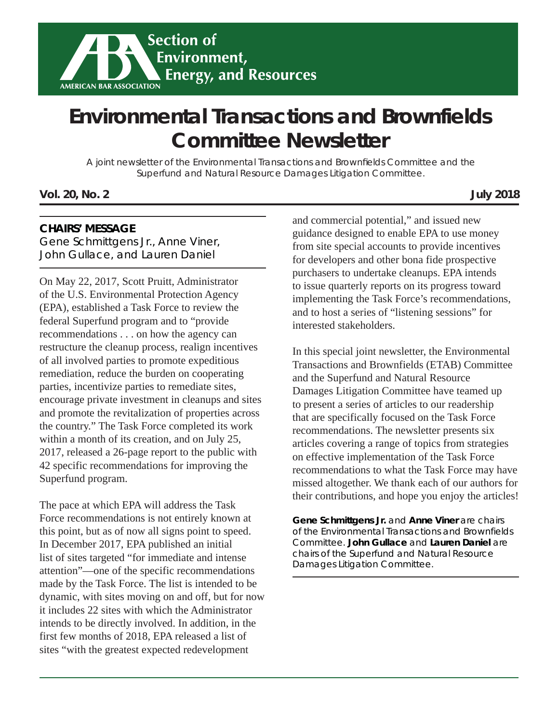

# **Environmental Transactions and Brownfields Committee Newsletter**

A joint newsletter of the Environmental Transactions and Brownfields Committee and the Superfund and Natural Resource Damages Litigation Committee.

**Vol. 20, No. 2 July 2018**

#### **CHAIRS' MESSAGE**

Gene Schmittgens Jr., Anne Viner, John Gullace, and Lauren Daniel

On May 22, 2017, Scott Pruitt, Administrator of the U.S. Environmental Protection Agency (EPA), established a Task Force to review the federal Superfund program and to "provide recommendations . . . on how the agency can restructure the cleanup process, realign incentives of all involved parties to promote expeditious remediation, reduce the burden on cooperating parties, incentivize parties to remediate sites, encourage private investment in cleanups and sites and promote the revitalization of properties across the country." The Task Force completed its work within a month of its creation, and on July 25, 2017, released a 26-page report to the public with 42 specific recommendations for improving the Superfund program.

The pace at which EPA will address the Task Force recommendations is not entirely known at this point, but as of now all signs point to speed. In December 2017, EPA published an initial list of sites targeted "for immediate and intense attention"—one of the specific recommendations made by the Task Force. The list is intended to be dynamic, with sites moving on and off, but for now it includes 22 sites with which the Administrator intends to be directly involved. In addition, in the first few months of 2018, EPA released a list of sites "with the greatest expected redevelopment

and commercial potential," and issued new guidance designed to enable EPA to use money from site special accounts to provide incentives for developers and other bona fide prospective purchasers to undertake cleanups. EPA intends to issue quarterly reports on its progress toward implementing the Task Force's recommendations, and to host a series of "listening sessions" for interested stakeholders.

In this special joint newsletter, the Environmental Transactions and Brownfields (ETAB) Committee and the Superfund and Natural Resource Damages Litigation Committee have teamed up to present a series of articles to our readership that are specifically focused on the Task Force recommendations. The newsletter presents six articles covering a range of topics from strategies on effective implementation of the Task Force recommendations to what the Task Force may have missed altogether. We thank each of our authors for their contributions, and hope you enjoy the articles!

**Gene Schmittgens Jr.** *and* **Anne Viner** *are chairs of the Environmental Transactions and Brownfields Committee.* **John Gullace** *and* **Lauren Daniel** *are chairs of the Superfund and Natural Resource Damages Litigation Committee.*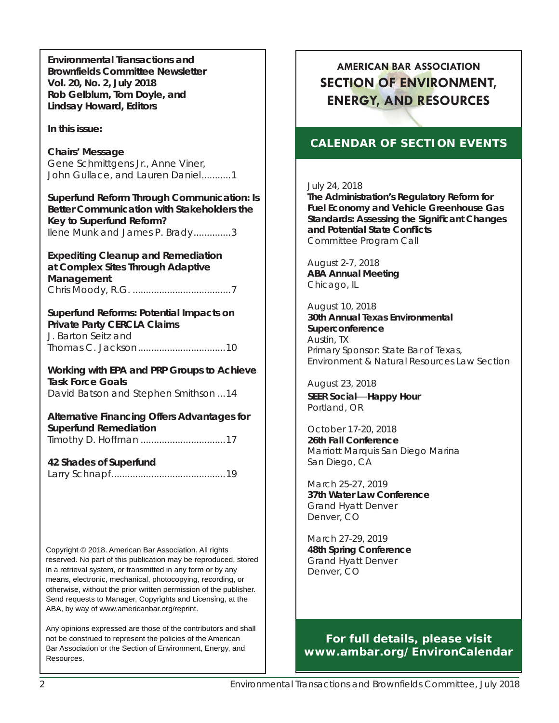**Environmental Transactions and Brownfields Committee Newsletter Vol. 20, No. 2, July 2018 Rob Gelblum, Tom Doyle, and Lindsay Howard, Editors**

#### *In this issue:*

**Chairs' Message** Gene Schmittgens Jr., Anne Viner, John Gullace, and Lauren Daniel...........1

**Superfund Reform Through Communication: Is Better Communication with Stakeholders the Key to Superfund Reform?** Ilene Munk and James P. Brady ..............3

**Expediting Cleanup and Remediation at Complex Sites Through Adaptive Management** Chris Moody, R.G. .....................................7

**Superfund Reforms: Potential Impacts on Private Party CERCLA Claims** J. Barton Seitz and

Thomas C. Jackson .................................10 **Working with EPA and PRP Groups to Achieve** 

**Task Force Goals** David Batson and Stephen Smithson ...14

**Alternative Financing Offers Advantages for Superfund Remediation** Timothy D. Hoffman ................................17

#### **42 Shades of Superfund**

Larry Schnapf *...........................................19*

Copyright © 2018. American Bar Association. All rights reserved. No part of this publication may be reproduced, stored in a retrieval system, or transmitted in any form or by any means, electronic, mechanical, photocopying, recording, or otherwise, without the prior written permission of the publisher. Send requests to Manager, Copyrights and Licensing, at the ABA, by way of www.americanbar.org/reprint.

Any opinions expressed are those of the contributors and shall not be construed to represent the policies of the American Bar Association or the Section of Environment, Energy, and Resources.

# **AMERICAN BAR ASSOCIATION SECTION OF ENVIRONMENT, ENERGY, AND RESOURCES**

#### **CALENDAR OF SECTION EVENTS**

#### July 24, 2018

**The Administration's Regulatory Reform for Fuel Economy and Vehicle Greenhouse Gas Standards: Assessing the Signifi cant Changes and Potential State Confl icts** Committee Program Call

August 2-7, 2018 **ABA Annual Meeting** Chicago, IL

August 10, 2018 **30th Annual Texas Environmental Superconference** Austin, TX Primary Sponsor: State Bar of Texas, Environment & Natural Resources Law Section

August 23, 2018 **SEER Social—Happy Hour** Portland, OR

October 17-20, 2018 **26th Fall Conference** Marriott Marquis San Diego Marina San Diego, CA

March 25-27, 2019 **37th Water Law Conference** Grand Hyatt Denver Denver, CO

March 27-29, 2019 **48th Spring Conference** Grand Hyatt Denver Denver, CO

**For full details, please visit www.ambar.org/EnvironCalendar**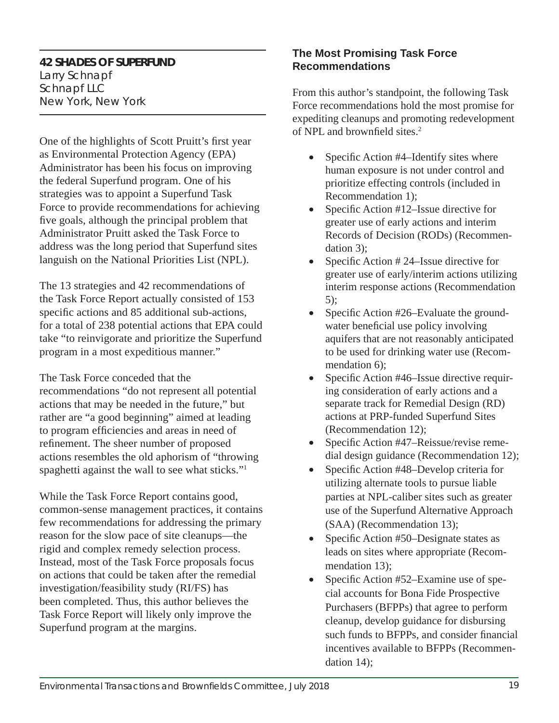#### **42 SHADES OF SUPERFUND**

Larry Schnapf *Schnapf LLC New York, New York*

One of the highlights of Scott Pruitt's first year as Environmental Protection Agency (EPA) Administrator has been his focus on improving the federal Superfund program. One of his strategies was to appoint a Superfund Task Force to provide recommendations for achieving five goals, although the principal problem that Administrator Pruitt asked the Task Force to address was the long period that Superfund sites languish on the National Priorities List (NPL).

The 13 strategies and 42 recommendations of the Task Force Report actually consisted of 153 specific actions and 85 additional sub-actions, for a total of 238 potential actions that EPA could take "to reinvigorate and prioritize the Superfund program in a most expeditious manner."

The Task Force conceded that the recommendations "do not represent all potential actions that may be needed in the future," but rather are "a good beginning" aimed at leading to program efficiencies and areas in need of refinement. The sheer number of proposed actions resembles the old aphorism of "throwing spaghetti against the wall to see what sticks."1

While the Task Force Report contains good, common-sense management practices, it contains few recommendations for addressing the primary reason for the slow pace of site cleanups—the rigid and complex remedy selection process. Instead, most of the Task Force proposals focus on actions that could be taken after the remedial investigation/feasibility study (RI/FS) has been completed. Thus, this author believes the Task Force Report will likely only improve the Superfund program at the margins.

#### **The Most Promising Task Force Recommendations**

From this author's standpoint, the following Task Force recommendations hold the most promise for expediting cleanups and promoting redevelopment of NPL and brownfield sites. $2$ 

- Specific Action  $#4$ –Identify sites where human exposure is not under control and prioritize effecting controls (included in Recommendation 1);
- Specific Action  $#12$ –Issue directive for greater use of early actions and interim Records of Decision (RODs) (Recommendation 3);
- Specific Action  $# 24$ –Issue directive for greater use of early/interim actions utilizing interim response actions (Recommendation 5);
- Specific Action  $#26$ –Evaluate the groundwater beneficial use policy involving aquifers that are not reasonably anticipated to be used for drinking water use (Recommendation 6):
- Specific Action  $#46$ –Issue directive requiring consideration of early actions and a separate track for Remedial Design (RD) actions at PRP-funded Superfund Sites (Recommendation 12);
- Specific Action #47–Reissue/revise remedial design guidance (Recommendation 12);
- Specific Action #48–Develop criteria for utilizing alternate tools to pursue liable parties at NPL-caliber sites such as greater use of the Superfund Alternative Approach (SAA) (Recommendation 13);
- Specific Action  $#50$ –Designate states as leads on sites where appropriate (Recommendation 13);
- Specific Action  $#52$ –Examine use of special accounts for Bona Fide Prospective Purchasers (BFPPs) that agree to perform cleanup, develop guidance for disbursing such funds to BFPPs, and consider financial incentives available to BFPPs (Recommendation 14);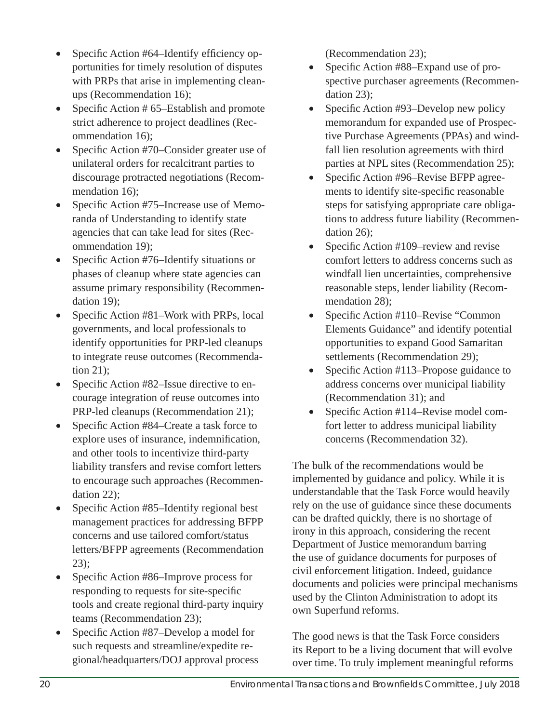- Specific Action #64–Identify efficiency opportunities for timely resolution of disputes with PRPs that arise in implementing cleanups (Recommendation 16);
- Specific Action  $# 65$ –Establish and promote strict adherence to project deadlines (Recommendation 16);
- Specific Action #70–Consider greater use of unilateral orders for recalcitrant parties to discourage protracted negotiations (Recommendation 16);
- Specific Action #75–Increase use of Memoranda of Understanding to identify state agencies that can take lead for sites (Recommendation 19);
- Specific Action #76–Identify situations or phases of cleanup where state agencies can assume primary responsibility (Recommendation 19);
- Specific Action  $#81$ –Work with PRPs, local governments, and local professionals to identify opportunities for PRP-led cleanups to integrate reuse outcomes (Recommendation 21);
- Specific Action  $#82$ –Issue directive to encourage integration of reuse outcomes into PRP-led cleanups (Recommendation 21);
- Specific Action  $#84$ –Create a task force to explore uses of insurance, indemnification, and other tools to incentivize third-party liability transfers and revise comfort letters to encourage such approaches (Recommendation 22);
- Specific Action  $#85$ –Identify regional best management practices for addressing BFPP concerns and use tailored comfort/status letters/BFPP agreements (Recommendation 23);
- Specific Action #86–Improve process for responding to requests for site-specific tools and create regional third-party inquiry teams (Recommendation 23);
- Specific Action #87–Develop a model for such requests and streamline/expedite regional/headquarters/DOJ approval process

(Recommendation 23);

- Specific Action #88–Expand use of prospective purchaser agreements (Recommendation 23);
- Specific Action #93–Develop new policy memorandum for expanded use of Prospective Purchase Agreements (PPAs) and windfall lien resolution agreements with third parties at NPL sites (Recommendation 25);
- Specific Action #96–Revise BFPP agreements to identify site-specific reasonable steps for satisfying appropriate care obligations to address future liability (Recommendation 26);
- Specific Action  $#109$ –review and revise comfort letters to address concerns such as windfall lien uncertainties, comprehensive reasonable steps, lender liability (Recommendation 28);
- Specific Action  $#110$ –Revise "Common Elements Guidance" and identify potential opportunities to expand Good Samaritan settlements (Recommendation 29);
- Specific Action #113–Propose guidance to address concerns over municipal liability (Recommendation 31); and
- Specific Action #114–Revise model comfort letter to address municipal liability concerns (Recommendation 32).

The bulk of the recommendations would be implemented by guidance and policy. While it is understandable that the Task Force would heavily rely on the use of guidance since these documents can be drafted quickly, there is no shortage of irony in this approach, considering the recent Department of Justice memorandum barring the use of guidance documents for purposes of civil enforcement litigation. Indeed, guidance documents and policies were principal mechanisms used by the Clinton Administration to adopt its own Superfund reforms.

The good news is that the Task Force considers its Report to be a living document that will evolve over time. To truly implement meaningful reforms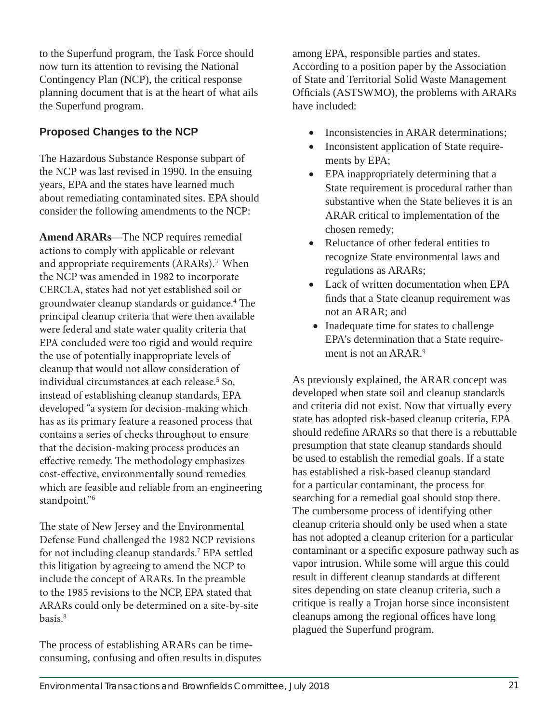to the Superfund program, the Task Force should now turn its attention to revising the National Contingency Plan (NCP), the critical response planning document that is at the heart of what ails the Superfund program.

## **Proposed Changes to the NCP**

The Hazardous Substance Response subpart of the NCP was last revised in 1990. In the ensuing years, EPA and the states have learned much about remediating contaminated sites. EPA should consider the following amendments to the NCP:

**Amend ARARs**—The NCP requires remedial actions to comply with applicable or relevant and appropriate requirements (ARARs).<sup>3</sup> When the NCP was amended in 1982 to incorporate CERCLA, states had not yet established soil or groundwater cleanup standards or guidance.<sup>4</sup> The principal cleanup criteria that were then available were federal and state water quality criteria that EPA concluded were too rigid and would require the use of potentially inappropriate levels of cleanup that would not allow consideration of individual circumstances at each release.<sup>5</sup> So, instead of establishing cleanup standards, EPA developed "a system for decision-making which has as its primary feature a reasoned process that contains a series of checks throughout to ensure that the decision-making process produces an effective remedy. The methodology emphasizes cost-effective, environmentally sound remedies which are feasible and reliable from an engineering standpoint."<sup>6</sup>

The state of New Jersey and the Environmental Defense Fund challenged the 1982 NCP revisions for not including cleanup standards.<sup>7</sup> EPA settled this litigation by agreeing to amend the NCP to include the concept of ARARs. In the preamble to the 1985 revisions to the NCP, EPA stated that ARARs could only be determined on a site-by-site basis.<sup>8</sup>

The process of establishing ARARs can be timeconsuming, confusing and often results in disputes among EPA, responsible parties and states. According to a position paper by the Association of State and Territorial Solid Waste Management Officials (ASTSWMO), the problems with ARARs have included:

- Inconsistencies in ARAR determinations;
- Inconsistent application of State requirements by EPA;
- EPA inappropriately determining that a State requirement is procedural rather than substantive when the State believes it is an ARAR critical to implementation of the chosen remedy;
- Reluctance of other federal entities to recognize State environmental laws and regulations as ARARs;
- Lack of written documentation when EPA finds that a State cleanup requirement was not an ARAR; and
- Inadequate time for states to challenge EPA's determination that a State requirement is not an ARAR.<sup>9</sup>

As previously explained, the ARAR concept was developed when state soil and cleanup standards and criteria did not exist. Now that virtually every state has adopted risk-based cleanup criteria, EPA should redefine ARARs so that there is a rebuttable presumption that state cleanup standards should be used to establish the remedial goals. If a state has established a risk-based cleanup standard for a particular contaminant, the process for searching for a remedial goal should stop there. The cumbersome process of identifying other cleanup criteria should only be used when a state has not adopted a cleanup criterion for a particular contaminant or a specific exposure pathway such as vapor intrusion. While some will argue this could result in different cleanup standards at different sites depending on state cleanup criteria, such a critique is really a Trojan horse since inconsistent cleanups among the regional offices have long plagued the Superfund program.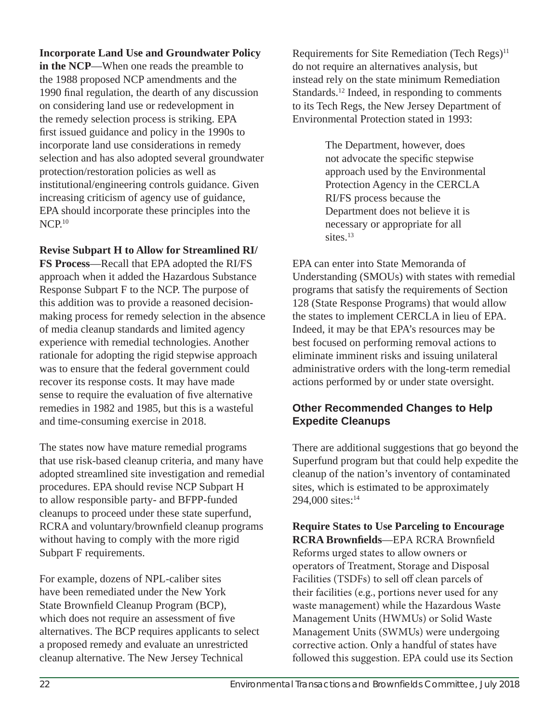#### **Incorporate Land Use and Groundwater Policy**

**in the NCP**—When one reads the preamble to the 1988 proposed NCP amendments and the 1990 final regulation, the dearth of any discussion on considering land use or redevelopment in the remedy selection process is striking. EPA first issued guidance and policy in the 1990s to incorporate land use considerations in remedy selection and has also adopted several groundwater protection/restoration policies as well as institutional/engineering controls guidance. Given increasing criticism of agency use of guidance, EPA should incorporate these principles into the  $NCP<sub>10</sub>$ 

#### **Revise Subpart H to Allow for Streamlined RI/**

**FS Process**—Recall that EPA adopted the RI/FS approach when it added the Hazardous Substance Response Subpart F to the NCP. The purpose of this addition was to provide a reasoned decisionmaking process for remedy selection in the absence of media cleanup standards and limited agency experience with remedial technologies. Another rationale for adopting the rigid stepwise approach was to ensure that the federal government could recover its response costs. It may have made sense to require the evaluation of five alternative remedies in 1982 and 1985, but this is a wasteful and time-consuming exercise in 2018.

The states now have mature remedial programs that use risk-based cleanup criteria, and many have adopted streamlined site investigation and remedial procedures. EPA should revise NCP Subpart H to allow responsible party- and BFPP-funded cleanups to proceed under these state superfund, RCRA and voluntary/brownfield cleanup programs without having to comply with the more rigid Subpart F requirements.

For example, dozens of NPL-caliber sites have been remediated under the New York State Brownfield Cleanup Program (BCP), which does not require an assessment of five alternatives. The BCP requires applicants to select a proposed remedy and evaluate an unrestricted cleanup alternative. The New Jersey Technical

Requirements for Site Remediation (Tech Regs)<sup>11</sup> do not require an alternatives analysis, but instead rely on the state minimum Remediation Standards.<sup>12</sup> Indeed, in responding to comments to its Tech Regs, the New Jersey Department of Environmental Protection stated in 1993:

> The Department, however, does not advocate the specific stepwise approach used by the Environmental Protection Agency in the CERCLA RI/FS process because the Department does not believe it is necessary or appropriate for all sites.<sup>13</sup>

EPA can enter into State Memoranda of Understanding (SMOUs) with states with remedial programs that satisfy the requirements of Section 128 (State Response Programs) that would allow the states to implement CERCLA in lieu of EPA. Indeed, it may be that EPA's resources may be best focused on performing removal actions to eliminate imminent risks and issuing unilateral administrative orders with the long-term remedial actions performed by or under state oversight.

#### **Other Recommended Changes to Help Expedite Cleanups**

There are additional suggestions that go beyond the Superfund program but that could help expedite the cleanup of the nation's inventory of contaminated sites, which is estimated to be approximately 294,000 sites:<sup>14</sup>

**Require States to Use Parceling to Encourage RCRA Brownfields—EPA RCRA Brownfield** Reforms urged states to allow owners or operators of Treatment, Storage and Disposal Facilities (TSDFs) to sell off clean parcels of their facilities (e.g., portions never used for any waste management) while the Hazardous Waste Management Units (HWMUs) or Solid Waste Management Units (SWMUs) were undergoing corrective action. Only a handful of states have followed this suggestion. EPA could use its Section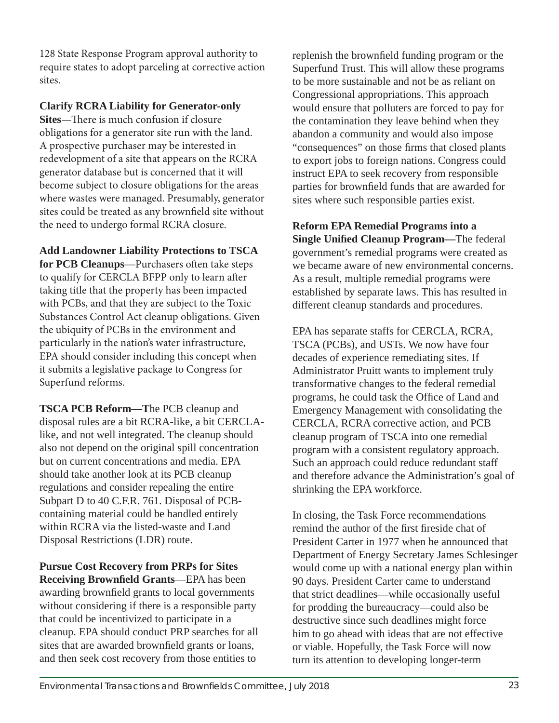128 State Response Program approval authority to require states to adopt parceling at corrective action sites.

#### **Clarify RCRA Liability for Generator-only**

**Sites**—There is much confusion if closure obligations for a generator site run with the land. A prospective purchaser may be interested in redevelopment of a site that appears on the RCRA generator database but is concerned that it will become subject to closure obligations for the areas where wastes were managed. Presumably, generator sites could be treated as any brownfield site without the need to undergo formal RCRA closure.

**Add Landowner Liability Protections to TSCA**  for PCB Cleanups--Purchasers often take steps to qualify for CERCLA BFPP only to learn after taking title that the property has been impacted with PCBs, and that they are subject to the Toxic Substances Control Act cleanup obligations. Given the ubiquity of PCBs in the environment and particularly in the nation's water infrastructure, EPA should consider including this concept when it submits a legislative package to Congress for Superfund reforms.

**TSCA PCB Reform—T**he PCB cleanup and disposal rules are a bit RCRA-like, a bit CERCLAlike, and not well integrated. The cleanup should also not depend on the original spill concentration but on current concentrations and media. EPA should take another look at its PCB cleanup regulations and consider repealing the entire Subpart D to 40 C.F.R. 761. Disposal of PCBcontaining material could be handled entirely within RCRA via the listed-waste and Land Disposal Restrictions (LDR) route.

**Pursue Cost Recovery from PRPs for Sites Receiving Brownfield Grants—EPA has been** awarding brownfield grants to local governments without considering if there is a responsible party that could be incentivized to participate in a cleanup. EPA should conduct PRP searches for all sites that are awarded brownfield grants or loans, and then seek cost recovery from those entities to

replenish the brownfield funding program or the Superfund Trust. This will allow these programs to be more sustainable and not be as reliant on Congressional appropriations. This approach would ensure that polluters are forced to pay for the contamination they leave behind when they abandon a community and would also impose "consequences" on those firms that closed plants to export jobs to foreign nations. Congress could instruct EPA to seek recovery from responsible parties for brownfield funds that are awarded for sites where such responsible parties exist.

**Reform EPA Remedial Programs into a Single Unified Cleanup Program—The federal** government's remedial programs were created as we became aware of new environmental concerns. As a result, multiple remedial programs were established by separate laws. This has resulted in different cleanup standards and procedures.

EPA has separate staffs for CERCLA, RCRA, TSCA (PCBs), and USTs. We now have four decades of experience remediating sites. If Administrator Pruitt wants to implement truly transformative changes to the federal remedial programs, he could task the Office of Land and Emergency Management with consolidating the CERCLA, RCRA corrective action, and PCB cleanup program of TSCA into one remedial program with a consistent regulatory approach. Such an approach could reduce redundant staff and therefore advance the Administration's goal of shrinking the EPA workforce.

In closing, the Task Force recommendations remind the author of the first fireside chat of President Carter in 1977 when he announced that Department of Energy Secretary James Schlesinger would come up with a national energy plan within 90 days. President Carter came to understand that strict deadlines—while occasionally useful for prodding the bureaucracy—could also be destructive since such deadlines might force him to go ahead with ideas that are not effective or viable. Hopefully, the Task Force will now turn its attention to developing longer-term